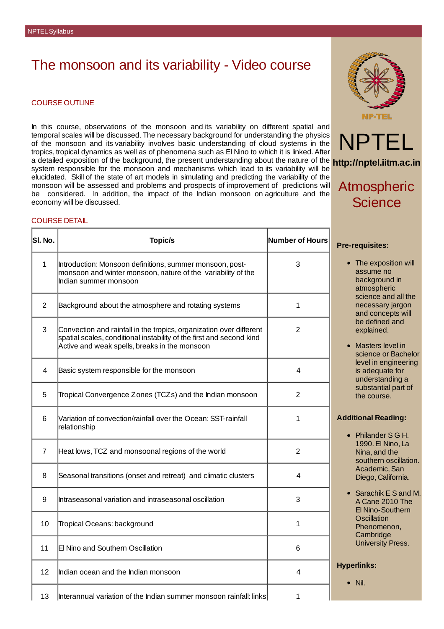# The monsoon and its variability - Video course

### COURSE OUTLINE

In this course, observations of the monsoon and its variability on different spatial and temporal scales will be discussed. The necessary background for understanding the physics of the monsoon and its variability involves basic understanding of cloud systems in the tropics, tropical dynamics as well as of phenomena such as El Nino to which it is linked.After a detailed exposition of the background, the present understanding about the nature of the **http://nptel.iitm.ac.in** system responsible for the monsoon and mechanisms which lead to its variability will be elucidated. Skill of the state of art models in simulating and predicting the variability of the monsoon will be assessed and problems and prospects of improvement of predictions will be considered. In addition, the impact of the Indian monsoon on agriculture and the economy will be discussed.

### COURSE DETAIL

| SI. No.        | <b>Topic/s</b>                                                                                                                                                                               | Number of Hours |
|----------------|----------------------------------------------------------------------------------------------------------------------------------------------------------------------------------------------|-----------------|
| $\mathbf{1}$   | Introduction: Monsoon definitions, summer monsoon, post-<br>monsoon and winter monsoon, nature of the variability of the<br>Indian summer monsoon                                            | 3               |
| $\overline{2}$ | Background about the atmosphere and rotating systems                                                                                                                                         | 1               |
| 3              | Convection and rainfall in the tropics, organization over different<br>spatial scales, conditional instability of the first and second kind<br>Active and weak spells, breaks in the monsoon | $\overline{2}$  |
| 4              | Basic system responsible for the monsoon                                                                                                                                                     | 4               |
| 5              | Tropical Convergence Zones (TCZs) and the Indian monsoon                                                                                                                                     | 2               |
| 6              | Variation of convection/rainfall over the Ocean: SST-rainfall<br>relationship                                                                                                                | $\mathbf{1}$    |
| $\overline{7}$ | Heat lows, TCZ and monsoonal regions of the world                                                                                                                                            | $\overline{c}$  |
| 8              | Seasonal transitions (onset and retreat) and climatic clusters                                                                                                                               | 4               |
| 9              | Intraseasonal variation and intraseasonal oscillation                                                                                                                                        | 3               |
| 10             | Tropical Oceans: background                                                                                                                                                                  | 1               |
| 11             | El Nino and Southern Oscillation                                                                                                                                                             | 6               |
| 12             | Indian ocean and the Indian monsoon                                                                                                                                                          | 4               |
| 13             | llnterannual variation of the Indian summer monsoon rainfall: linksl                                                                                                                         |                 |





## Atmospheric **Science**

### **Pre-requisites:**

- The exposition will assume no background in atmospheric science and all the necessary jargon and concepts will be defined and explained.
- Masters level in science or Bachelor level in engineering is adequate for understanding a substantial part of the course.

## **Additional Reading:**

- Philander S G H. 1990.El Nino, La Nina, and the southern oscillation. Academic, San Diego, California.
- Sarachik E S and M. A Cane 2010 The El Nino-Southern **Oscillation** Phenomenon, **Cambridge** University Press.

## **Hyperlinks:**

 $\bullet$  Nil.

13  $\,$  |Interannual variation of the Indian summer monsoon rainfall: links $\,$   $\,$   $\,$   $\,$  1  $\,$